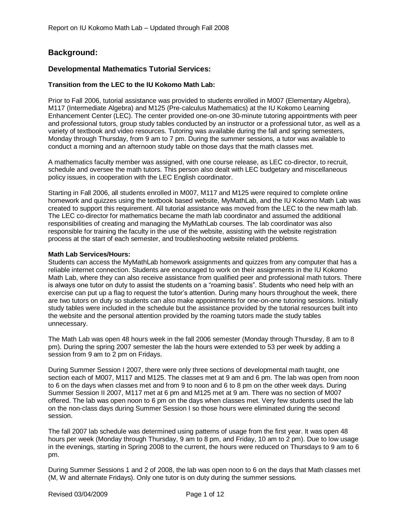# **Background:**

## **Developmental Mathematics Tutorial Services:**

### **Transition from the LEC to the IU Kokomo Math Lab:**

Prior to Fall 2006, tutorial assistance was provided to students enrolled in M007 (Elementary Algebra), M117 (Intermediate Algebra) and M125 (Pre-calculus Mathematics) at the IU Kokomo Learning Enhancement Center (LEC). The center provided one-on-one 30-minute tutoring appointments with peer and professional tutors, group study tables conducted by an instructor or a professional tutor, as well as a variety of textbook and video resources. Tutoring was available during the fall and spring semesters, Monday through Thursday, from 9 am to 7 pm. During the summer sessions, a tutor was available to conduct a morning and an afternoon study table on those days that the math classes met.

A mathematics faculty member was assigned, with one course release, as LEC co-director, to recruit, schedule and oversee the math tutors. This person also dealt with LEC budgetary and miscellaneous policy issues, in cooperation with the LEC English coordinator.

Starting in Fall 2006, all students enrolled in M007, M117 and M125 were required to complete online homework and quizzes using the textbook based website, MyMathLab, and the IU Kokomo Math Lab was created to support this requirement. All tutorial assistance was moved from the LEC to the new math lab. The LEC co-director for mathematics became the math lab coordinator and assumed the additional responsibilities of creating and managing the MyMathLab courses. The lab coordinator was also responsible for training the faculty in the use of the website, assisting with the website registration process at the start of each semester, and troubleshooting website related problems.

#### **Math Lab Services/Hours:**

Students can access the MyMathLab homework assignments and quizzes from any computer that has a reliable internet connection. Students are encouraged to work on their assignments in the IU Kokomo Math Lab, where they can also receive assistance from qualified peer and professional math tutors. There is always one tutor on duty to assist the students on a "roaming basis". Students who need help with an exercise can put up a flag to request the tutor's attention. During many hours throughout the week, there are two tutors on duty so students can also make appointments for one-on-one tutoring sessions. Initially study tables were included in the schedule but the assistance provided by the tutorial resources built into the website and the personal attention provided by the roaming tutors made the study tables unnecessary.

The Math Lab was open 48 hours week in the fall 2006 semester (Monday through Thursday, 8 am to 8 pm). During the spring 2007 semester the lab the hours were extended to 53 per week by adding a session from 9 am to 2 pm on Fridays.

During Summer Session I 2007, there were only three sections of developmental math taught, one section each of M007, M117 and M125. The classes met at 9 am and 6 pm. The lab was open from noon to 6 on the days when classes met and from 9 to noon and 6 to 8 pm on the other week days. During Summer Session II 2007, M117 met at 6 pm and M125 met at 9 am. There was no section of M007 offered. The lab was open noon to 6 pm on the days when classes met. Very few students used the lab on the non-class days during Summer Session I so those hours were eliminated during the second session.

The fall 2007 lab schedule was determined using patterns of usage from the first year. It was open 48 hours per week (Monday through Thursday, 9 am to 8 pm, and Friday, 10 am to 2 pm). Due to low usage in the evenings, starting in Spring 2008 to the current, the hours were reduced on Thursdays to 9 am to 6 pm.

During Summer Sessions 1 and 2 of 2008, the lab was open noon to 6 on the days that Math classes met (M, W and alternate Fridays). Only one tutor is on duty during the summer sessions.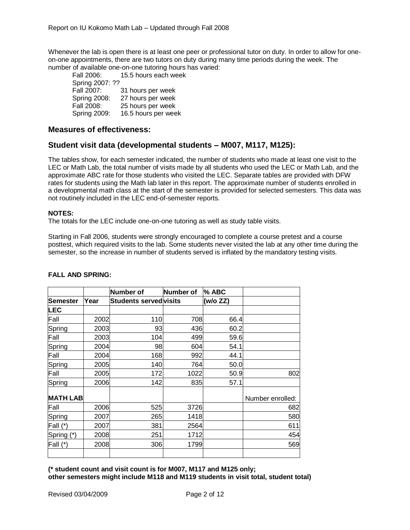Whenever the lab is open there is at least one peer or professional tutor on duty. In order to allow for oneon-one appointments, there are two tutors on duty during many time periods during the week. The number of available one-on-one tutoring hours has varied:

Fall 2006: 15.5 hours each week Spring 2007: ?? Fall 2007: 31 hours per week Spring 2008: 27 hours per week Fall 2008: 25 hours per week Spring 2009: 16.5 hours per week

## **Measures of effectiveness:**

# **Student visit data (developmental students – M007, M117, M125):**

The tables show, for each semester indicated, the number of students who made at least one visit to the LEC or Math Lab, the total number of visits made by all students who used the LEC or Math Lab, and the approximate ABC rate for those students who visited the LEC. Separate tables are provided with DFW rates for students using the Math lab later in this report. The approximate number of students enrolled in a developmental math class at the start of the semester is provided for selected semesters. This data was not routinely included in the LEC end-of-semester reports.

#### **NOTES:**

The totals for the LEC include one-on-one tutoring as well as study table visits.

Starting in Fall 2006, students were strongly encouraged to complete a course pretest and a course posttest, which required visits to the lab. Some students never visited the lab at any other time during the semester, so the increase in number of students served is inflated by the mandatory testing visits.

| Year |     |                                           | (w/o ZZ)                                                                                          |                                                                                                                                  |
|------|-----|-------------------------------------------|---------------------------------------------------------------------------------------------------|----------------------------------------------------------------------------------------------------------------------------------|
|      |     |                                           |                                                                                                   |                                                                                                                                  |
| 2002 |     |                                           |                                                                                                   |                                                                                                                                  |
|      |     |                                           |                                                                                                   |                                                                                                                                  |
|      |     |                                           |                                                                                                   |                                                                                                                                  |
| 2004 |     |                                           | 54.1                                                                                              |                                                                                                                                  |
| 2004 |     | 992                                       | 44.1                                                                                              |                                                                                                                                  |
| 2005 |     |                                           |                                                                                                   |                                                                                                                                  |
| 2005 | 172 | 1022                                      |                                                                                                   | 802                                                                                                                              |
|      | 142 |                                           | 57.1                                                                                              |                                                                                                                                  |
|      |     |                                           |                                                                                                   | Number enrolled:                                                                                                                 |
| 2006 |     |                                           |                                                                                                   | 682                                                                                                                              |
| 2007 |     |                                           |                                                                                                   | 580                                                                                                                              |
| 2007 | 381 |                                           |                                                                                                   | 611                                                                                                                              |
|      | 251 |                                           |                                                                                                   | 454                                                                                                                              |
| 2008 |     |                                           |                                                                                                   | 569                                                                                                                              |
|      |     | Number of<br>2003<br>2003<br>2006<br>2008 | Number of<br> Students served visits<br>110<br>93<br>104<br>98<br>168<br>140<br>525<br>265<br>306 | l% ABC<br>708<br>66.4<br>436<br>60.2<br>499<br>59.6<br>604<br>50.0<br>764<br>50.9<br>835<br>3726<br>1418<br>2564<br>1712<br>1799 |

### **FALL AND SPRING:**

**(\* student count and visit count is for M007, M117 and M125 only; other semesters might include M118 and M119 students in visit total, student total)**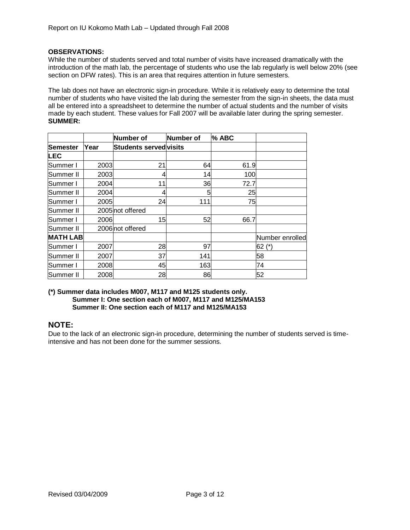#### **OBSERVATIONS:**

While the number of students served and total number of visits have increased dramatically with the introduction of the math lab, the percentage of students who use the lab regularly is well below 20% (see section on DFW rates). This is an area that requires attention in future semesters.

The lab does not have an electronic sign-in procedure. While it is relatively easy to determine the total number of students who have visited the lab during the semester from the sign-in sheets, the data must all be entered into a spreadsheet to determine the number of actual students and the number of visits made by each student. These values for Fall 2007 will be available later during the spring semester. **SUMMER:**

|                 |      | Number of                    | Number of | % ABC |                 |
|-----------------|------|------------------------------|-----------|-------|-----------------|
| lSemester       | Year | <b>Students servedvisits</b> |           |       |                 |
| <b>LEC</b>      |      |                              |           |       |                 |
| Summer I        | 2003 | 21                           | 64        | 61.9  |                 |
| Summer II       | 2003 |                              | 14        | 100   |                 |
| lSummer I       | 2004 | 11                           | 36        | 72.7  |                 |
| Summer II       | 2004 | 4                            | 5         | 25    |                 |
| Summer I        | 2005 | 24                           | 111       | 75    |                 |
| Summer II       |      | 2005 not offered             |           |       |                 |
| Summer I        | 2006 | 15                           | 52        | 66.7  |                 |
| Summer II       |      | 2006 not offered             |           |       |                 |
| <b>MATH LAB</b> |      |                              |           |       | Number enrolled |
| Summer I        | 2007 | 28                           | 97        |       | (*) 62          |
| Summer II       | 2007 | 37                           | 141       |       | 58              |
| Summer I        | 2008 | 45                           | 163       |       | 74              |
| Summer II       | 2008 | 28                           | 86        |       | 52              |

#### **(\*) Summer data includes M007, M117 and M125 students only. Summer I: One section each of M007, M117 and M125/MA153 Summer II: One section each of M117 and M125/MA153**

# **NOTE:**

Due to the lack of an electronic sign-in procedure, determining the number of students served is timeintensive and has not been done for the summer sessions.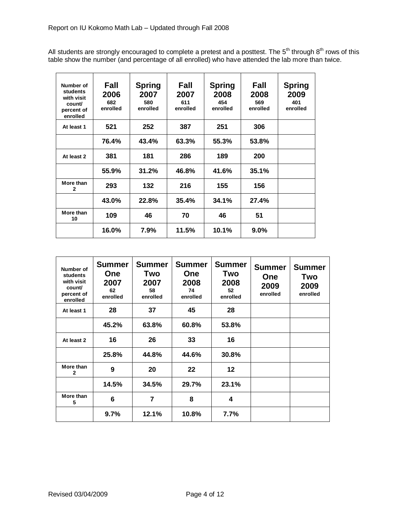All students are strongly encouraged to complete a pretest and a posttest. The 5<sup>th</sup> through 8<sup>th</sup> rows of this table show the number (and percentage of all enrolled) who have attended the lab more than twice.

| Number of<br>students<br>with visit<br>count/<br>percent of<br>enrolled | Fall<br>2006<br>682<br>enrolled | <b>Spring</b><br>2007<br>580<br>enrolled | Fall<br>2007<br>611<br>enrolled | <b>Spring</b><br>2008<br>454<br>enrolled | Fall<br>2008<br>569<br>enrolled | <b>Spring</b><br>2009<br>401<br>enrolled |
|-------------------------------------------------------------------------|---------------------------------|------------------------------------------|---------------------------------|------------------------------------------|---------------------------------|------------------------------------------|
| At least 1                                                              | 521                             | 252                                      | 387                             | 251                                      | 306                             |                                          |
|                                                                         | 76.4%                           | 43.4%                                    | 63.3%                           | 55.3%                                    | 53.8%                           |                                          |
| At least 2                                                              | 381                             | 181                                      | 286                             | 189                                      | 200                             |                                          |
|                                                                         | 55.9%                           | 31.2%                                    | 46.8%                           | 41.6%                                    | 35.1%                           |                                          |
| More than<br>$\mathbf{2}$                                               | 293                             | 132                                      | 216                             | 155                                      | 156                             |                                          |
|                                                                         | 43.0%                           | 22.8%                                    | 35.4%                           | 34.1%                                    | 27.4%                           |                                          |
| More than<br>10                                                         | 109                             | 46                                       | 70                              | 46                                       | 51                              |                                          |
|                                                                         | 16.0%                           | 7.9%                                     | 11.5%                           | 10.1%                                    | $9.0\%$                         |                                          |

| Number of<br>students<br>with visit<br>count/<br>percent of<br>enrolled | <b>Summer</b><br><b>One</b><br>2007<br>62<br>enrolled | <b>Summer</b><br>Two<br>2007<br>58<br>enrolled | <b>Summer</b><br><b>One</b><br>2008<br>74<br>enrolled | <b>Summer</b><br>Two<br>2008<br>52<br>enrolled | <b>Summer</b><br><b>One</b><br>2009<br>enrolled | <b>Summer</b><br>Two<br>2009<br>enrolled |
|-------------------------------------------------------------------------|-------------------------------------------------------|------------------------------------------------|-------------------------------------------------------|------------------------------------------------|-------------------------------------------------|------------------------------------------|
| At least 1                                                              | 28                                                    | 37                                             | 45                                                    | 28                                             |                                                 |                                          |
|                                                                         | 45.2%                                                 | 63.8%                                          | 60.8%                                                 | 53.8%                                          |                                                 |                                          |
| At least 2                                                              | 16                                                    | 26                                             | 33                                                    | 16                                             |                                                 |                                          |
|                                                                         | 25.8%                                                 | 44.8%                                          | 44.6%                                                 | 30.8%                                          |                                                 |                                          |
| More than<br>$\mathbf{2}$                                               | 9                                                     | 20                                             | 22                                                    | 12                                             |                                                 |                                          |
|                                                                         | 14.5%                                                 | 34.5%                                          | 29.7%                                                 | 23.1%                                          |                                                 |                                          |
| More than<br>5                                                          | 6                                                     | 7                                              | 8                                                     | 4                                              |                                                 |                                          |
|                                                                         | 9.7%                                                  | 12.1%                                          | 10.8%                                                 | 7.7%                                           |                                                 |                                          |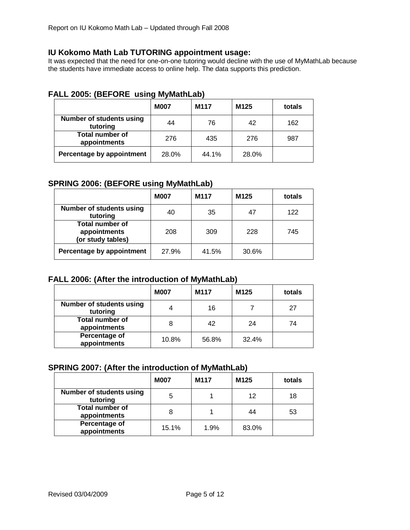# **IU Kokomo Math Lab TUTORING appointment usage:**

It was expected that the need for one-on-one tutoring would decline with the use of MyMathLab because the students have immediate access to online help. The data supports this prediction.

|                                             | <b>M007</b> | M117  | M <sub>125</sub> | totals |
|---------------------------------------------|-------------|-------|------------------|--------|
| <b>Number of students using</b><br>tutoring | 44          | 76    | 42               | 162    |
| <b>Total number of</b><br>appointments      | 276         | 435   | 276              | 987    |
| Percentage by appointment                   | 28.0%       | 44.1% | 28.0%            |        |

# **FALL 2005: (BEFORE using MyMathLab)**

# **SPRING 2006: (BEFORE using MyMathLab)**

|                                                             | <b>M007</b> | M117  | M125  | totals |
|-------------------------------------------------------------|-------------|-------|-------|--------|
| <b>Number of students using</b><br>tutoring                 | 40          | 35    | 47    | 122    |
| <b>Total number of</b><br>appointments<br>(or study tables) | 208         | 309   | 228   | 745    |
| Percentage by appointment                                   | 27.9%       | 41.5% | 30.6% |        |

# **FALL 2006: (After the introduction of MyMathLab)**

|                                             | <b>M007</b> | M117  | M125  | totals |
|---------------------------------------------|-------------|-------|-------|--------|
| <b>Number of students using</b><br>tutoring |             | 16    |       | 27     |
| <b>Total number of</b><br>appointments      | 8           | 42    | 24    | 74     |
| Percentage of<br>appointments               | 10.8%       | 56.8% | 32.4% |        |

# **SPRING 2007: (After the introduction of MyMathLab)**

|                                             | <b>M007</b> | M117 | M125  | totals |
|---------------------------------------------|-------------|------|-------|--------|
| <b>Number of students using</b><br>tutoring | 5           |      | 12    | 18     |
| <b>Total number of</b><br>appointments      | 8           |      | 44    | 53     |
| Percentage of<br>appointments               | 15.1%       | 1.9% | 83.0% |        |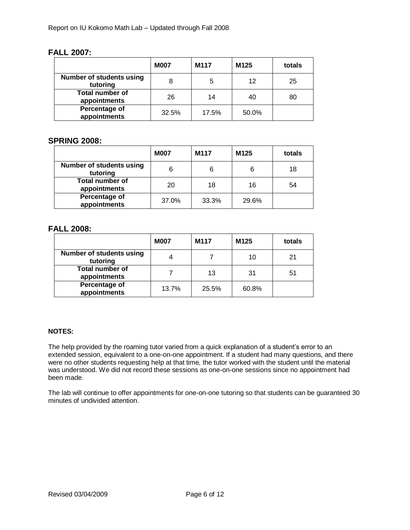# **FALL 2007:**

|                                             | <b>M007</b> | M <sub>117</sub> | M125  | totals |
|---------------------------------------------|-------------|------------------|-------|--------|
| <b>Number of students using</b><br>tutoring | 8           | 5                | 12    | 25     |
| <b>Total number of</b><br>appointments      | 26          | 14               | 40    | 80     |
| Percentage of<br>appointments               | 32.5%       | 17.5%            | 50.0% |        |

# **SPRING 2008:**

|                                             | <b>M007</b> | M117  | M <sub>125</sub> | totals |
|---------------------------------------------|-------------|-------|------------------|--------|
| <b>Number of students using</b><br>tutoring | 6           | 6     |                  | 18     |
| <b>Total number of</b><br>appointments      | 20          | 18    | 16               | 54     |
| Percentage of<br>appointments               | 37.0%       | 33.3% | 29.6%            |        |

# **FALL 2008:**

|                                             | <b>M007</b> | M117  | M125  | totals |
|---------------------------------------------|-------------|-------|-------|--------|
| <b>Number of students using</b><br>tutoring |             |       | 10    | 21     |
| <b>Total number of</b><br>appointments      |             | 13    | 31    | 51     |
| Percentage of<br>appointments               | 13.7%       | 25.5% | 60.8% |        |

## **NOTES:**

The help provided by the roaming tutor varied from a quick explanation of a student's error to an extended session, equivalent to a one-on-one appointment. If a student had many questions, and there were no other students requesting help at that time, the tutor worked with the student until the material was understood. We did not record these sessions as one-on-one sessions since no appointment had been made.

The lab will continue to offer appointments for one-on-one tutoring so that students can be guaranteed 30 minutes of undivided attention.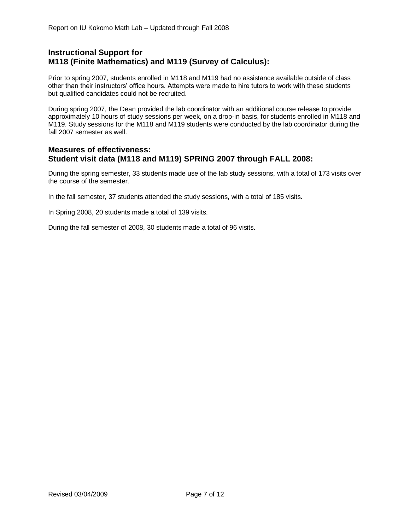# **Instructional Support for M118 (Finite Mathematics) and M119 (Survey of Calculus):**

Prior to spring 2007, students enrolled in M118 and M119 had no assistance available outside of class other than their instructors' office hours. Attempts were made to hire tutors to work with these students but qualified candidates could not be recruited.

During spring 2007, the Dean provided the lab coordinator with an additional course release to provide approximately 10 hours of study sessions per week, on a drop-in basis, for students enrolled in M118 and M119. Study sessions for the M118 and M119 students were conducted by the lab coordinator during the fall 2007 semester as well.

## **Measures of effectiveness: Student visit data (M118 and M119) SPRING 2007 through FALL 2008:**

During the spring semester, 33 students made use of the lab study sessions, with a total of 173 visits over the course of the semester.

In the fall semester, 37 students attended the study sessions, with a total of 185 visits.

In Spring 2008, 20 students made a total of 139 visits.

During the fall semester of 2008, 30 students made a total of 96 visits.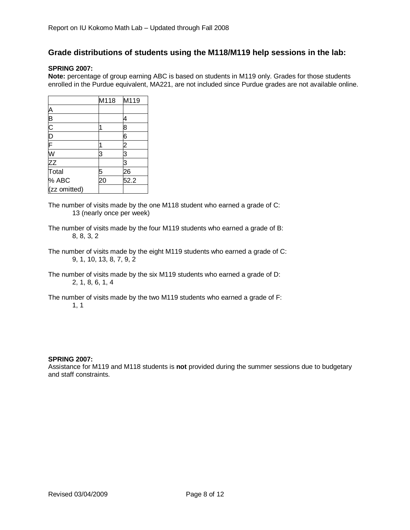# **Grade distributions of students using the M118/M119 help sessions in the lab:**

### **SPRING 2007:**

**Note:** percentage of group earning ABC is based on students in M119 only. Grades for those students enrolled in the Purdue equivalent, MA221, are not included since Purdue grades are not available online.

|              | M118 | M119           |
|--------------|------|----------------|
|              |      |                |
|              |      |                |
|              |      | 8              |
| ABCDF        |      | 6              |
|              |      | $\overline{c}$ |
| W<br>ZZ      | З    | З              |
|              |      | 3              |
| Total        |      | 26             |
| % ABC        | 20   | 52.2           |
| (zz omitted) |      |                |

- The number of visits made by the one M118 student who earned a grade of C: 13 (nearly once per week)
- The number of visits made by the four M119 students who earned a grade of B: 8, 8, 3, 2
- The number of visits made by the eight M119 students who earned a grade of C: 9, 1, 10, 13, 8, 7, 9, 2
- The number of visits made by the six M119 students who earned a grade of D: 2, 1, 8, 6, 1, 4
- The number of visits made by the two M119 students who earned a grade of F: 1, 1

#### **SPRING 2007:**

Assistance for M119 and M118 students is **not** provided during the summer sessions due to budgetary and staff constraints.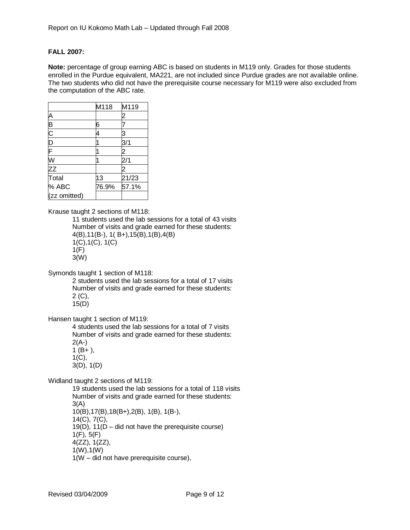#### **FALL 2007:**

**Note:** percentage of group earning ABC is based on students in M119 only. Grades for those students enrolled in the Purdue equivalent, MA221, are not included since Purdue grades are not available online. The two students who did not have the prerequisite course necessary for M119 were also excluded from the computation of the ABC rate.

|                                          | M118  | M119  |
|------------------------------------------|-------|-------|
|                                          |       | 2     |
| A<br>B<br>C<br>D<br>F<br>W<br>Z<br>Total | 6     |       |
|                                          | 4     | 3     |
|                                          |       | 3/1   |
|                                          |       |       |
|                                          |       |       |
|                                          |       | 2     |
|                                          | 13    | 21/23 |
| % ABC                                    | 76.9% | 57.1% |
| (zz omitted)                             |       |       |

Krause taught 2 sections of M118:

11 students used the lab sessions for a total of 43 visits Number of visits and grade earned for these students: 4(B),11(B-), 1( B+),15(B),1(B),4(B) 1(C),1(C), 1(C) 1(F) 3(W)

Symonds taught 1 section of M118:

2 students used the lab sessions for a total of 17 visits Number of visits and grade earned for these students: 2 (C), 15(D)

Hansen taught 1 section of M119:

4 students used the lab sessions for a total of 7 visits Number of visits and grade earned for these students:  $2(A-)$  $1 (B+),$ 1(C),

3(D), 1(D)

Widland taught 2 sections of M119:

19 students used the lab sessions for a total of 118 visits Number of visits and grade earned for these students: 3(A) 10(B),17(B),18(B+),2(B), 1(B), 1(B-), 14(C), 7(C), 19(D),  $11(D - did not have the prerequisite course)$ 1(F), 5(F) 4(ZZ), 1(ZZ), 1(W),1(W) 1(W – did not have prerequisite course),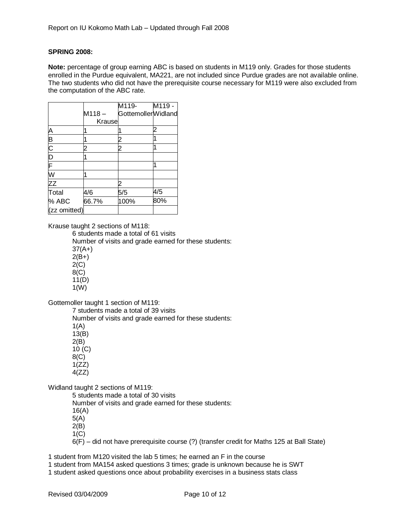### **SPRING 2008:**

**Note:** percentage of group earning ABC is based on students in M119 only. Grades for those students enrolled in the Purdue equivalent, MA221, are not included since Purdue grades are not available online. The two students who did not have the prerequisite course necessary for M119 were also excluded from the computation of the ABC rate.

|                |          | M119-              | M119 - |
|----------------|----------|--------------------|--------|
|                | $M118 -$ | GottemollerWidland |        |
|                | Krause   |                    |        |
|                |          |                    |        |
|                |          |                    |        |
|                |          |                    |        |
|                |          |                    |        |
|                |          |                    |        |
| A B C D F W ZZ |          |                    |        |
|                |          |                    |        |
| Total          | 4/6      | 5/5                | 4/5    |
| % ABC          | 66.7%    | 100%               | 80%    |
| (zz omitted)   |          |                    |        |

Krause taught 2 sections of M118:

6 students made a total of 61 visits Number of visits and grade earned for these students: 37(A+)  $2(B+)$  $2(C)$ 8(C)  $11(D)$ 

1(W)

Gottemoller taught 1 section of M119:

7 students made a total of 39 visits

Number of visits and grade earned for these students:

 $1(A)$ 13(B)

2(B)

10 (C) 8(C)

 $1(ZZ)$ 

4(ZZ)

Widland taught 2 sections of M119:

5 students made a total of 30 visits Number of visits and grade earned for these students: 16(A) 5(A) 2(B) 1(C)

6(F) – did not have prerequisite course (?) (transfer credit for Maths 125 at Ball State)

1 student from M120 visited the lab 5 times; he earned an F in the course

1 student from MA154 asked questions 3 times; grade is unknown because he is SWT

1 student asked questions once about probability exercises in a business stats class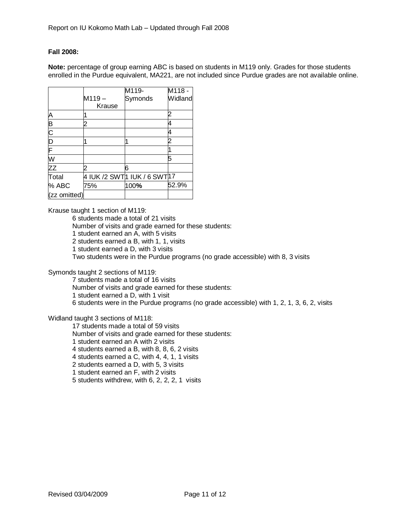#### **Fall 2008:**

**Note:** percentage of group earning ABC is based on students in M119 only. Grades for those students enrolled in the Purdue equivalent, MA221, are not included since Purdue grades are not available online.

|                       |          | M119-                                      | M118-   |
|-----------------------|----------|--------------------------------------------|---------|
|                       | $M119 -$ | Symonds                                    | Widland |
|                       | Krause   |                                            |         |
|                       |          |                                            |         |
|                       |          |                                            |         |
| A<br>B<br>C<br>D<br>F |          |                                            |         |
|                       |          |                                            |         |
|                       |          |                                            |         |
| W                     |          |                                            | 5       |
| $Z\overline{Z}$       |          | 6                                          |         |
| Total                 |          | 4 IUK /2 SWT <mark>1 IUK / 6 SWT</mark> 17 |         |
| % ABC                 | 75%      | 100%                                       | 52.9%   |
| (zz omitted)          |          |                                            |         |

Krause taught 1 section of M119:

6 students made a total of 21 visits

Number of visits and grade earned for these students:

1 student earned an A, with 5 visits

2 students earned a B, with 1, 1, visits

1 student earned a D, with 3 visits

Two students were in the Purdue programs (no grade accessible) with 8, 3 visits

Symonds taught 2 sections of M119:

7 students made a total of 16 visits Number of visits and grade earned for these students: 1 student earned a D, with 1 visit 6 students were in the Purdue programs (no grade accessible) with 1, 2, 1, 3, 6, 2, visits

#### Widland taught 3 sections of M118:

17 students made a total of 59 visits Number of visits and grade earned for these students: 1 student earned an A with 2 visits 4 students earned a B, with 8, 8, 6, 2 visits 4 students earned a C, with 4, 4, 1, 1 visits 2 students earned a D, with 5, 3 visits 1 student earned an F, with 2 visits 5 students withdrew, with 6, 2, 2, 2, 1 visits